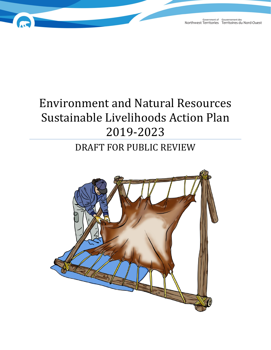# Environment and Natural Resources Sustainable Livelihoods Action Plan 2019-2023

# DRAFT FOR PUBLIC REVIEW

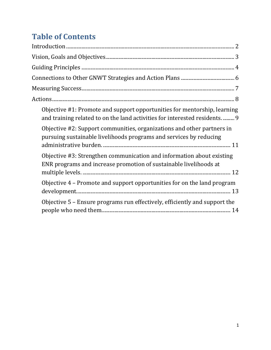# **Table of Contents**

| Objective #1: Promote and support opportunities for mentorship, learning<br>and training related to on the land activities for interested residents 9 |
|-------------------------------------------------------------------------------------------------------------------------------------------------------|
| Objective #2: Support communities, organizations and other partners in<br>pursuing sustainable livelihoods programs and services by reducing          |
| Objective #3: Strengthen communication and information about existing<br>ENR programs and increase promotion of sustainable livelihoods at            |
| Objective 4 – Promote and support opportunities for on the land program                                                                               |
| Objective 5 - Ensure programs run effectively, efficiently and support the                                                                            |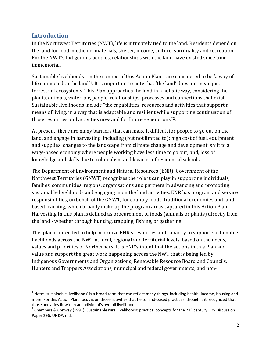#### <span id="page-2-0"></span>**Introduction**

In the Northwest Territories (NWT), life is intimately tied to the land. Residents depend on the land for food, medicine, materials, shelter, income, culture, spirituality and recreation. For the NWT's Indigenous peoples, relationships with the land have existed since time immemorial.

Sustainable livelihoods - in the context of this Action Plan – are considered to be 'a way of life connected to the land'[1](#page-2-1). It is important to note that 'the land' does not mean just terrestrial ecosystems. This Plan approaches the land in a holistic way, considering the plants, animals, water, air, people, relationships, processes and connections that exist. Sustainable livelihoods include "the capabilities, resources and activities that support a means of living, in a way that is adaptable and resilient while supporting continuation of those resources and activities now and for future generations"[2](#page-2-2).

At present, there are many barriers that can make it difficult for people to go out on the land, and engage in harvesting, including (but not limited to): high cost of fuel, equipment and supplies; changes to the landscape from climate change and development; shift to a wage-based economy where people working have less time to go out; and, loss of knowledge and skills due to colonialism and legacies of residential schools.

The Department of Environment and Natural Resources (ENR), Government of the Northwest Territories (GNWT) recognizes the role it can play in supporting individuals, families, communities, regions, organizations and partners in advancing and promoting sustainable livelihoods and engaging in on the land activities. ENR has program and service responsibilities, on behalf of the GNWT, for country foods, traditional economies and landbased learning, which broadly make up the program areas captured in this Action Plan. Harvesting in this plan is defined as procurement of foods (animals or plants) directly from the land - whether through hunting, trapping, fishing, or gathering.

This plan is intended to help prioritize ENR's resources and capacity to support sustainable livelihoods across the NWT at local, regional and territorial levels, based on the needs, values and priorities of Northerners. It is ENR's intent that the actions in this Plan add value and support the great work happening across the NWT that is being led by Indigenous Governments and Organizations, Renewable Resource Board and Councils, Hunters and Trappers Associations, municipal and federal governments, and non-

<span id="page-2-1"></span> $1$  Note: 'sustainable livelihoods' is a broad term that can reflect many things, including health, income, housing and more. For this Action Plan, focus is on those activities that tie to land-based practices, though is it recognized that those activities fit within an individual's overall livelihood.<br><sup>2</sup> Chambers & Conway (1991), Sustainable rural livelihoods: practical concepts for the 21<sup>st</sup> century. IDS Discussion

<span id="page-2-2"></span>Paper 296; UNDP, n.d.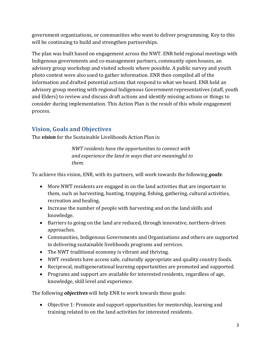government organizations, or communities who want to deliver programming. Key to this will be continuing to build and strengthen partnerships.

The plan was built based on engagement across the NWT. ENR held regional meetings with Indigenous governments and co-management partners, community open houses, an advisory group workshop and visited schools where possible. A public survey and youth photo contest were also used to gather information. ENR then compiled all of the information and drafted potential actions that respond to what we heard. ENR held an advisory group meeting with regional Indigenous Government representatives (staff, youth and Elders) to review and discuss draft actions and identify missing actions or things to consider during implementation. This Action Plan is the result of this whole engagement process.

# <span id="page-3-0"></span>**Vision, Goals and Objectives**

The *vision* for the Sustainable Livelihoods Action Plan is:

*NWT residents have the opportunities to connect with and experience the land in ways that are meaningful to them.*

To achieve this vision, ENR, with its partners, will work towards the following *goals*:

- More NWT residents are engaged in on the land activities that are important to them, such as harvesting, hunting, trapping, fishing, gathering, cultural activities, recreation and healing.
- Increase the number of people with harvesting and on the land skills and knowledge.
- Barriers to going on the land are reduced, through innovative, northern-driven approaches.
- Communities, Indigenous Governments and Organizations and others are supported in delivering sustainable livelihoods programs and services.
- The NWT traditional economy is vibrant and thriving.
- NWT residents have access safe, culturally appropriate and quality country foods.
- Reciprocal, multigenerational learning opportunities are promoted and supported.
- Programs and support are available for interested residents, regardless of age, knowledge, skill level and experience.

The following *objectives* will help ENR to work towards these goals:

• Objective 1: Promote and support opportunities for mentorship, learning and training related to on the land activities for interested residents.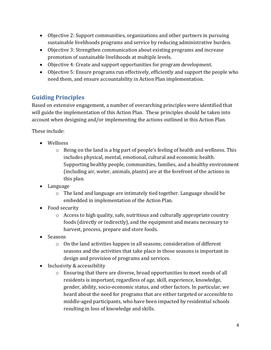- Objective 2: Support communities, organizations and other partners in pursuing sustainable livelihoods programs and service by reducing administrative burden.
- Objective 3: Strengthen communication about existing programs and increase promotion of sustainable livelihoods at multiple levels.
- Objective 4: Create and support opportunities for program development.
- Objective 5: Ensure programs run effectively, efficiently and support the people who need them, and ensure accountability in Action Plan implementation.

# <span id="page-4-0"></span>**Guiding Principles**

Based on extensive engagement, a number of overarching principles were identified that will guide the implementation of this Action Plan. These principles should be taken into account when designing and/or implementing the actions outlined in this Action Plan.

These include:

- Wellness
	- o Being on the land is a big part of people's feeling of health and wellness. This includes physical, mental, emotional, cultural and economic health. Supporting healthy people, communities, families, and a healthy environment (including air, water, animals, plants) are at the forefront of the actions in this plan.
- Language
	- o The land and language are intimately tied together. Language should be embedded in implementation of the Action Plan.
- Food security
	- o Access to high quality, safe, nutritious and culturally appropriate country foods (directly or indirectly), and the equipment and means necessary to harvest, process, prepare and store foods.
- Seasons
	- o On the land activities happen in all seasons; consideration of different seasons and the activities that take place in those seasons is important in design and provision of programs and services.
- Inclusivity & accessibility
	- $\circ$  Ensuring that there are diverse, broad opportunities to meet needs of all residents is important, regardless of age, skill, experience, knowledge, gender, ability, socio-economic status, and other factors. In particular, we heard about the need for programs that are either targeted or accessible to middle-aged participants, who have been impacted by residential schools resulting in loss of knowledge and skills.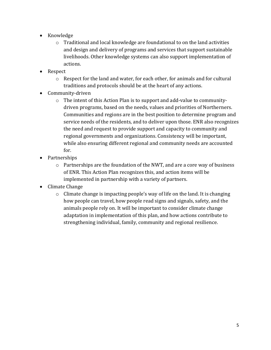- Knowledge
	- o Traditional and local knowledge are foundational to on the land activities and design and delivery of programs and services that support sustainable livelihoods. Other knowledge systems can also support implementation of actions.
- Respect
	- o Respect for the land and water, for each other, for animals and for cultural traditions and protocols should be at the heart of any actions.
- Community-driven
	- o The intent of this Action Plan is to support and add-value to communitydriven programs, based on the needs, values and priorities of Northerners. Communities and regions are in the best position to determine program and service needs of the residents, and to deliver upon those. ENR also recognizes the need and request to provide support and capacity to community and regional governments and organizations. Consistency will be important, while also ensuring different regional and community needs are accounted for.
- Partnerships
	- o Partnerships are the foundation of the NWT, and are a core way of business of ENR. This Action Plan recognizes this, and action items will be implemented in partnership with a variety of partners.
- Climate Change
	- o Climate change is impacting people's way of life on the land. It is changing how people can travel, how people read signs and signals, safety, and the animals people rely on. It will be important to consider climate change adaptation in implementation of this plan, and how actions contribute to strengthening individual, family, community and regional resilience.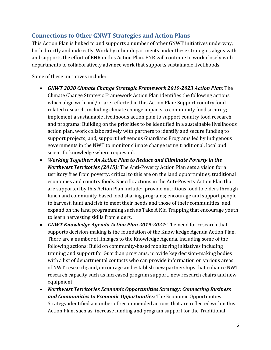#### <span id="page-6-0"></span>**Connections to Other GNWT Strategies and Action Plans**

This Action Plan is linked to and supports a number of other GNWT initiatives underway, both directly and indirectly. Work by other departments under these strategies aligns with and supports the effort of ENR in this Action Plan. ENR will continue to work closely with departments to collaboratively advance work that supports sustainable livelihoods.

Some of these initiatives include:

- *GNWT 2030 Climate Change Strategic Framework 2019-2023 Action Plan*: The Climate Change Strategic Framework Action Plan identifies the following actions which align with and/or are reflected in this Action Plan: Support country foodrelated research, including climate change impacts to community food security; implement a sustainable livelihoods action plan to support country food research and programs; Building on the priorities to be identified in a sustainable livelihoods action plan, work collaboratively with partners to identify and secure funding to support projects; and, support Indigenous Guardians Programs led by Indigenous governments in the NWT to monitor climate change using traditional, local and scientific knowledge where requested.
- *Working Together: An Action Plan to Reduce and Eliminate Poverty in the Northwest Territories (2015):* The Anti-Poverty Action Plan sets a vision for a territory free from poverty; critical to this are on the land opportunities, traditional economies and country foods. Specific actions in the Anti-Poverty Action Plan that are supported by this Action Plan include: provide nutritious food to elders through lunch and community-based food sharing programs; encourage and support people to harvest, hunt and fish to meet their needs and those of their communities; and, expand on the land programming such as Take A Kid Trapping that encourage youth to learn harvesting skills from elders.
- *GNWT Knowledge Agenda Action Plan 2019-2024*: The need for research that supports decision-making is the foundation of the Know kedge Agenda Action Plan. There are a number of linkages to the Knowledge Agenda, including some of the following actions: Build on community-based monitoring initiatives including training and support for Guardian programs; provide key decision-making bodies with a list of departmental contacts who can provide information on various areas of NWT research; and, encourage and establish new partnerships that enhance NWT research capacity such as increased program support, new research chairs and new equipment.
- *Northwest Territories Economic Opportunities Strategy: Connecting Business and Communities to Economic Opportunities*: The Economic Opportunities Strategy identified a number of recommended actions that are reflected within this Action Plan, such as: increase funding and program support for the Traditional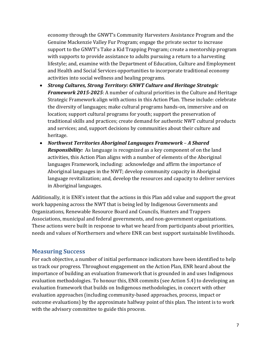economy through the GNWT's Community Harvesters Assistance Program and the Genuine Mackenzie Valley Fur Program; engage the private sector to increase support to the GNWT's Take a Kid Trapping Program; create a mentorship program with supports to provide assistance to adults pursuing a return to a harvesting lifestyle; and, examine with the Department of Education, Culture and Employment and Health and Social Services opportunities to incorporate traditional economy activities into social wellness and healing programs.

- *Strong Cultures, Strong Territory: GNWT Culture and Heritage Strategic Framework 2015-2025*: A number of cultural priorities in the Culture and Heritage Strategic Framework align with actions in this Action Plan. These include: celebrate the diversity of languages; make cultural programs hands-on, immersive and on location; support cultural programs for youth; support the preservation of traditional skills and practices; create demand for authentic NWT cultural products and services; and, support decisions by communities about their culture and heritage.
- *Northwest Territories Aboriginal Languages Framework A Shared Responsibility:* As language is recognized as a key component of on the land activities, this Action Plan aligns with a number of elements of the Aboriginal languages Framework, including: acknowledge and affirm the importance of Aboriginal languages in the NWT; develop community capacity in Aboriginal language revitalization; and, develop the resources and capacity to deliver services in Aboriginal languages.

Additionally, it is ENR's intent that the actions in this Plan add value and support the great work happening across the NWT that is being led by Indigenous Governments and Organizations, Renewable Resource Board and Councils, Hunters and Trappers Associations, municipal and federal governments, and non-government organizations. These actions were built in response to what we heard from participants about priorities, needs and values of Northerners and where ENR can best support sustainable livelihoods.

#### <span id="page-7-0"></span>**Measuring Success**

For each objective, a number of initial performance indicators have been identified to help us track our progress. Throughout engagement on the Action Plan, ENR heard about the importance of building an evaluation framework that is grounded in and uses Indigenous evaluation methodologies. To honour this, ENR commits (see Action 5.4) to developing an evaluation framework that builds on Indigenous methodologies, in concert with other evaluation approaches (including community-based approaches, process, impact or outcome evaluations) by the approximate halfway point of this plan. The intent is to work with the advisory committee to guide this process.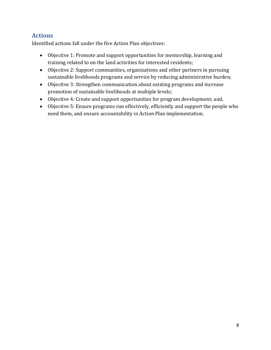# <span id="page-8-0"></span>**Actions**

Identified actions fall under the five Action Plan objectives:

- Objective 1: Promote and support opportunities for mentorship, learning and training related to on the land activities for interested residents;
- Objective 2: Support communities, organizations and other partners in pursuing sustainable livelihoods programs and service by reducing administrative burden;
- Objective 3: Strengthen communication about existing programs and increase promotion of sustainable livelihoods at multiple levels;
- Objective 4: Create and support opportunities for program development; and,
- Objective 5: Ensure programs run effectively, efficiently and support the people who need them, and ensure accountability in Action Plan implementation.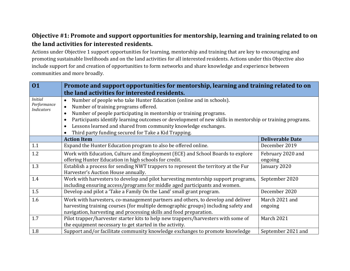### **Objective #1: Promote and support opportunities for mentorship, learning and training related to on the land activities for interested residents.**

Actions under Objective 1 support opportunities for learning, mentorship and training that are key to encouraging and promoting sustainable livelihoods and on the land activities for all interested residents. Actions under this Objective also include support for and creation of opportunities to form networks and share knowledge and experience between communities and more broadly.

<span id="page-9-0"></span>

| 01                                                 | Promote and support opportunities for mentorship, learning and training related to on                                                                                                                                                                                                                                                                                                                                                                                                                 |                              |  |
|----------------------------------------------------|-------------------------------------------------------------------------------------------------------------------------------------------------------------------------------------------------------------------------------------------------------------------------------------------------------------------------------------------------------------------------------------------------------------------------------------------------------------------------------------------------------|------------------------------|--|
|                                                    | the land activities for interested residents.                                                                                                                                                                                                                                                                                                                                                                                                                                                         |                              |  |
| <i>Initial</i><br>Performance<br><b>Indicators</b> | Number of people who take Hunter Education (online and in schools).<br>$\bullet$<br>Number of training programs offered.<br>$\bullet$<br>Number of people participating in mentorship or training programs.<br>$\bullet$<br>Participants identify learning outcomes or development of new skills in mentorship or training programs.<br>$\bullet$<br>Lessons learned and shared from community knowledge exchanges.<br>$\bullet$<br>Third party funding secured for Take a Kid Trapping.<br>$\bullet$ |                              |  |
|                                                    | <b>Action Item</b>                                                                                                                                                                                                                                                                                                                                                                                                                                                                                    | <b>Deliverable Date</b>      |  |
| 1.1                                                | Expand the Hunter Education program to also be offered online.                                                                                                                                                                                                                                                                                                                                                                                                                                        | December 2019                |  |
| 1.2                                                | Work with Education, Culture and Employment (ECE) and School Boards to explore<br>offering Hunter Education in high schools for credit.                                                                                                                                                                                                                                                                                                                                                               | February 2020 and<br>ongoing |  |
| 1.3                                                | Establish a process for sending NWT trappers to represent the territory at the Fur<br>Harvester's Auction House annually.                                                                                                                                                                                                                                                                                                                                                                             | January 2020                 |  |
| 1.4                                                | Work with harvesters to develop and pilot harvesting mentorship support programs,<br>including ensuring access/programs for middle aged participants and women.                                                                                                                                                                                                                                                                                                                                       | September 2020               |  |
| 1.5                                                | Develop and pilot a 'Take a Family On the Land' small grant program.                                                                                                                                                                                                                                                                                                                                                                                                                                  | December 2020                |  |
| 1.6                                                | Work with harvesters, co-management partners and others, to develop and deliver<br>harvesting training courses (for multiple demographic groups) including safety and<br>navigation, harvesting and processing skills and food preparation.                                                                                                                                                                                                                                                           | March 2021 and<br>ongoing    |  |
| 1.7                                                | Pilot trapper/harvester starter kits to help new trappers/harvesters with some of<br>the equipment necessary to get started in the activity.                                                                                                                                                                                                                                                                                                                                                          | March 2021                   |  |
| 1.8                                                | Support and/or facilitate community knowledge exchanges to promote knowledge                                                                                                                                                                                                                                                                                                                                                                                                                          | September 2021 and           |  |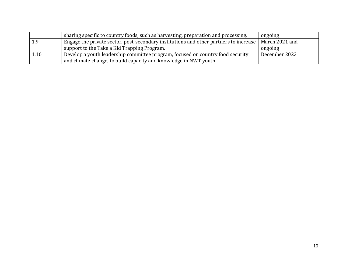|      | sharing specific to country foods, such as harvesting, preparation and processing.    | ongoing        |
|------|---------------------------------------------------------------------------------------|----------------|
|      | Engage the private sector, post-secondary institutions and other partners to increase | March 2021 and |
|      | support to the Take a Kid Trapping Program.                                           | ongoing        |
| 1.10 | Develop a youth leadership committee program, focused on country food security        | December 2022  |
|      | and climate change, to build capacity and knowledge in NWT youth.                     |                |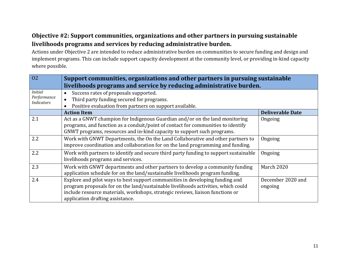# **Objective #2: Support communities, organizations and other partners in pursuing sustainable livelihoods programs and services by reducing administrative burden.**

Actions under Objective 2 are intended to reduce administrative burden on communities to secure funding and design and implement programs. This can include support capacity development at the community level, or providing in-kind capacity where possible.

<span id="page-11-0"></span>

| 02                               | Support communities, organizations and other partners in pursuing sustainable<br>livelihoods programs and service by reducing administrative burden.                                                                                                                                    |                              |
|----------------------------------|-----------------------------------------------------------------------------------------------------------------------------------------------------------------------------------------------------------------------------------------------------------------------------------------|------------------------------|
| <b>Initial</b>                   | Success rates of proposals supported.<br>$\bullet$                                                                                                                                                                                                                                      |                              |
| Performance<br><b>Indicators</b> | Third party funding secured for programs.<br>$\bullet$                                                                                                                                                                                                                                  |                              |
|                                  | Positive evaluation from partners on support available.<br>$\bullet$                                                                                                                                                                                                                    |                              |
|                                  | <b>Action Item</b>                                                                                                                                                                                                                                                                      | <b>Deliverable Date</b>      |
| 2.1                              | Act as a GNWT champion for Indigenous Guardian and/or on the land monitoring<br>programs, and function as a conduit/point of contact for communities to identify<br>GNWT programs, resources and in-kind capacity to support such programs.                                             | Ongoing                      |
| 2.2                              | Work with GNWT Departments, the On the Land Collaborative and other partners to<br>improve coordination and collaboration for on the land programming and funding.                                                                                                                      | Ongoing                      |
| 2.2                              | Work with partners to identify and secure third party funding to support sustainable<br>livelihoods programs and services.                                                                                                                                                              | Ongoing                      |
| 2.3                              | Work with GNWT departments and other partners to develop a community funding<br>application schedule for on the land/sustainable livelihoods program funding.                                                                                                                           | March 2020                   |
| 2.4                              | Explore and pilot ways to best support communities in developing funding and<br>program proposals for on the land/sustainable livelihoods activities, which could<br>include resource materials, workshops, strategic reviews, liaison functions or<br>application drafting assistance. | December 2020 and<br>ongoing |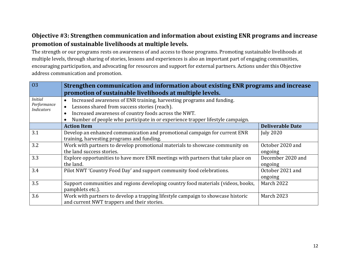### **Objective #3: Strengthen communication and information about existing ENR programs and increase promotion of sustainable livelihoods at multiple levels.**

The strength or our programs rests on awareness of and access to those programs. Promoting sustainable livelihoods at multiple levels, through sharing of stories, lessons and experiences is also an important part of engaging communities, encouraging participation, and advocating for resources and support for external partners. Actions under this Objective address communication and promotion.

<span id="page-12-0"></span>

| 03                               | Strengthen communication and information about existing ENR programs and increase<br>promotion of sustainable livelihoods at multiple levels. |                         |
|----------------------------------|-----------------------------------------------------------------------------------------------------------------------------------------------|-------------------------|
| <b>Initial</b>                   | Increased awareness of ENR training, harvesting programs and funding.<br>$\bullet$                                                            |                         |
| Performance<br><i>Indicators</i> | Lessons shared from success stories (reach).<br>$\bullet$                                                                                     |                         |
|                                  | Increased awareness of country foods across the NWT.<br>$\bullet$                                                                             |                         |
|                                  | Number of people who participate in or experience trapper lifestyle campaign.                                                                 |                         |
|                                  | <b>Action Item</b>                                                                                                                            | <b>Deliverable Date</b> |
| 3.1                              | Develop an enhanced communication and promotional campaign for current ENR                                                                    | <b>July 2020</b>        |
|                                  | training, harvesting programs and funding.                                                                                                    |                         |
| 3.2                              | Work with partners to develop promotional materials to showcase community on                                                                  | October 2020 and        |
|                                  | the land success stories.                                                                                                                     | ongoing                 |
| 3.3                              | Explore opportunities to have more ENR meetings with partners that take place on                                                              | December 2020 and       |
|                                  | the land.                                                                                                                                     | ongoing                 |
| 3.4                              | Pilot NWT 'Country Food Day' and support community food celebrations.                                                                         | October 2021 and        |
|                                  |                                                                                                                                               | ongoing                 |
| 3.5                              | Support communities and regions developing country food materials (videos, books,                                                             | March 2022              |
|                                  | pamphlets etc.).                                                                                                                              |                         |
| 3.6                              | Work with partners to develop a trapping lifestyle campaign to showcase historic                                                              | <b>March 2023</b>       |
|                                  | and current NWT trappers and their stories.                                                                                                   |                         |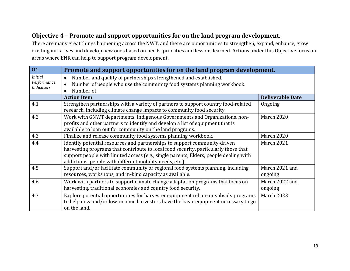# **Objective 4 – Promote and support opportunities for on the land program development.**

There are many great things happening across the NWT, and there are opportunities to strengthen, expand, enhance, grow existing initiatives and develop new ones based on needs, priorities and lessons learned. Actions under this Objective focus on areas where ENR can help to support program development.

<span id="page-13-0"></span>

| 04                                                 | Promote and support opportunities for on the land program development.                                                                                                                                                                                                                                                |                           |
|----------------------------------------------------|-----------------------------------------------------------------------------------------------------------------------------------------------------------------------------------------------------------------------------------------------------------------------------------------------------------------------|---------------------------|
| <i>Initial</i><br>Performance<br><b>Indicators</b> | Number and quality of partnerships strengthened and established.<br>$\bullet$<br>Number of people who use the community food systems planning workbook.<br>$\bullet$<br>Number of<br>$\bullet$                                                                                                                        |                           |
|                                                    | <b>Action Item</b>                                                                                                                                                                                                                                                                                                    | <b>Deliverable Date</b>   |
| 4.1                                                | Strengthen partnerships with a variety of partners to support country food-related<br>research, including climate change impacts to community food security.                                                                                                                                                          | Ongoing                   |
| 4.2                                                | Work with GNWT departments, Indigenous Governments and Organizations, non-<br>profits and other partners to identify and develop a list of equipment that is<br>available to loan out for community on the land programs.                                                                                             | March 2020                |
| 4.3                                                | Finalize and release community food systems planning workbook.                                                                                                                                                                                                                                                        | March 2020                |
| 4.4                                                | Identify potential resources and partnerships to support community-driven<br>harvesting programs that contribute to local food security, particularly those that<br>support people with limited access (e.g., single parents, Elders, people dealing with<br>addictions, people with different mobility needs, etc.). | March 2021                |
| 4.5                                                | Support and/or facilitate community or regional food systems planning, including<br>resources, workshops, and in-kind capacity as available.                                                                                                                                                                          | March 2021 and<br>ongoing |
| 4.6                                                | Work with partners to support climate change adaptation programs that focus on<br>harvesting, traditional economies and country food security.                                                                                                                                                                        | March 2022 and<br>ongoing |
| 4.7                                                | Explore potential opportunities for harvester equipment rebate or subsidy programs<br>to help new and/or low-income harvesters have the basic equipment necessary to go<br>on the land.                                                                                                                               | <b>March 2023</b>         |